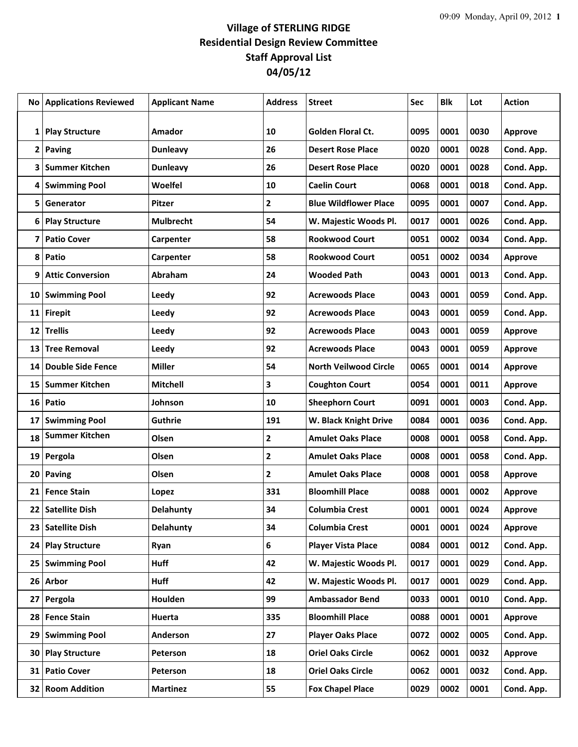## **Village of STERLING RIDGE Residential Design Review Committee Staff Approval List 04/05/12**

| No l         | <b>Applications Reviewed</b> | <b>Applicant Name</b> | Address        | <b>Street</b>                | <b>Sec</b> | <b>Blk</b> | Lot  | <b>Action</b>  |
|--------------|------------------------------|-----------------------|----------------|------------------------------|------------|------------|------|----------------|
|              |                              |                       |                |                              |            |            |      |                |
| 1            | <b>Play Structure</b>        | Amador                | 10             | <b>Golden Floral Ct.</b>     | 0095       | 0001       | 0030 | <b>Approve</b> |
| $\mathbf{2}$ | Paving                       | <b>Dunleavy</b>       | 26             | <b>Desert Rose Place</b>     | 0020       | 0001       | 0028 | Cond. App.     |
| 3            | <b>Summer Kitchen</b>        | <b>Dunleavy</b>       | 26             | <b>Desert Rose Place</b>     | 0020       | 0001       | 0028 | Cond. App.     |
| 4            | <b>Swimming Pool</b>         | Woelfel               | 10             | <b>Caelin Court</b>          | 0068       | 0001       | 0018 | Cond. App.     |
| 5            | Generator                    | Pitzer                | $\mathbf{2}$   | <b>Blue Wildflower Place</b> | 0095       | 0001       | 0007 | Cond. App.     |
| 6            | <b>Play Structure</b>        | <b>Mulbrecht</b>      | 54             | W. Majestic Woods Pl.        | 0017       | 0001       | 0026 | Cond. App.     |
| 7            | <b>Patio Cover</b>           | Carpenter             | 58             | <b>Rookwood Court</b>        | 0051       | 0002       | 0034 | Cond. App.     |
| 8            | Patio                        | Carpenter             | 58             | <b>Rookwood Court</b>        | 0051       | 0002       | 0034 | <b>Approve</b> |
| 9            | <b>Attic Conversion</b>      | <b>Abraham</b>        | 24             | <b>Wooded Path</b>           | 0043       | 0001       | 0013 | Cond. App.     |
| 10           | <b>Swimming Pool</b>         | <b>Leedy</b>          | 92             | <b>Acrewoods Place</b>       | 0043       | 0001       | 0059 | Cond. App.     |
| 11           | <b>Firepit</b>               | Leedy                 | 92             | <b>Acrewoods Place</b>       | 0043       | 0001       | 0059 | Cond. App.     |
| 12           | <b>Trellis</b>               | Leedy                 | 92             | <b>Acrewoods Place</b>       | 0043       | 0001       | 0059 | Approve        |
| 13           | <b>Tree Removal</b>          | Leedy                 | 92             | <b>Acrewoods Place</b>       | 0043       | 0001       | 0059 | <b>Approve</b> |
| 14           | <b>Double Side Fence</b>     | <b>Miller</b>         | 54             | <b>North Veilwood Circle</b> | 0065       | 0001       | 0014 | Approve        |
| 15           | <b>Summer Kitchen</b>        | <b>Mitchell</b>       | 3              | <b>Coughton Court</b>        | 0054       | 0001       | 0011 | Approve        |
| 16           | Patio                        | Johnson               | 10             | <b>Sheephorn Court</b>       | 0091       | 0001       | 0003 | Cond. App.     |
| 17           | <b>Swimming Pool</b>         | <b>Guthrie</b>        | 191            | W. Black Knight Drive        | 0084       | 0001       | 0036 | Cond. App.     |
| 18           | <b>Summer Kitchen</b>        | Olsen                 | $\mathbf{2}$   | <b>Amulet Oaks Place</b>     | 0008       | 0001       | 0058 | Cond. App.     |
| 19           | Pergola                      | Olsen                 | $\overline{2}$ | <b>Amulet Oaks Place</b>     | 0008       | 0001       | 0058 | Cond. App.     |
| 20           | Paving                       | Olsen                 | $\mathbf{2}$   | <b>Amulet Oaks Place</b>     | 0008       | 0001       | 0058 | <b>Approve</b> |
| 21           | <b>Fence Stain</b>           | Lopez                 | 331            | <b>Bloomhill Place</b>       | 0088       | 0001       | 0002 | <b>Approve</b> |
|              | 22 Satellite Dish            | <b>Delahunty</b>      | 34             | <b>Columbia Crest</b>        | 0001       | 0001       | 0024 | <b>Approve</b> |
| 23           | <b>Satellite Dish</b>        | <b>Delahunty</b>      | 34             | <b>Columbia Crest</b>        | 0001       | 0001       | 0024 | Approve        |
| 24           | <b>Play Structure</b>        | Ryan                  | 6              | <b>Player Vista Place</b>    | 0084       | 0001       | 0012 | Cond. App.     |
| 25           | <b>Swimming Pool</b>         | <b>Huff</b>           | 42             | W. Majestic Woods Pl.        | 0017       | 0001       | 0029 | Cond. App.     |
|              | 26 Arbor                     | Huff                  | 42             | W. Majestic Woods Pl.        | 0017       | 0001       | 0029 | Cond. App.     |
| 27           | Pergola                      | Houlden               | 99             | <b>Ambassador Bend</b>       | 0033       | 0001       | 0010 | Cond. App.     |
|              | 28 Fence Stain               | Huerta                | 335            | <b>Bloomhill Place</b>       | 0088       | 0001       | 0001 | Approve        |
| 29           | <b>Swimming Pool</b>         | Anderson              | 27             | <b>Player Oaks Place</b>     | 0072       | 0002       | 0005 | Cond. App.     |
| 30           | <b>Play Structure</b>        | Peterson              | 18             | <b>Oriel Oaks Circle</b>     | 0062       | 0001       | 0032 | Approve        |
| 31           | <b>Patio Cover</b>           | Peterson              | 18             | <b>Oriel Oaks Circle</b>     | 0062       | 0001       | 0032 | Cond. App.     |
|              | 32 Room Addition             | <b>Martinez</b>       | 55             | <b>Fox Chapel Place</b>      | 0029       | 0002       | 0001 | Cond. App.     |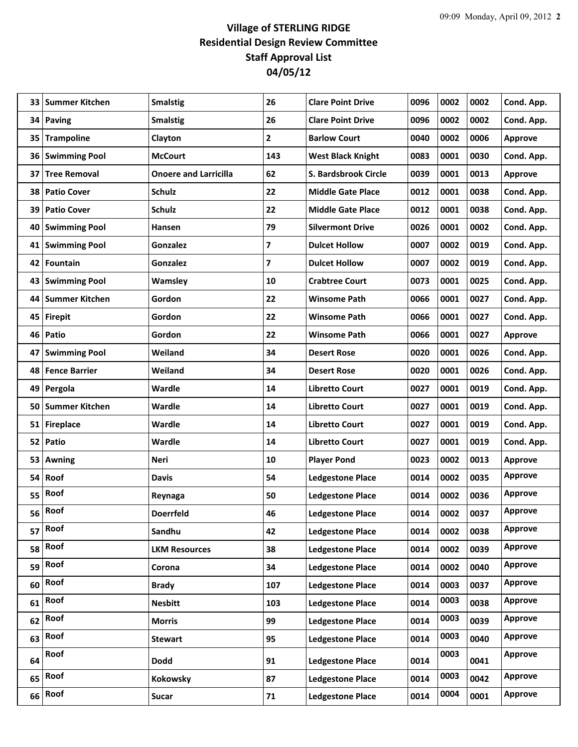## **Village of STERLING RIDGE Residential Design Review Committee Staff Approval List 04/05/12**

| 26<br>0096<br>0002<br>0002<br>Paving<br><b>Smalstig</b><br><b>Clare Point Drive</b><br>Cond. App.<br>34<br><b>Trampoline</b><br>2<br>0040<br>0002<br>0006<br>Clayton<br><b>Barlow Court</b><br>35<br><b>Approve</b><br>143<br>0083<br>0001<br>0030<br>36<br><b>Swimming Pool</b><br><b>McCourt</b><br><b>West Black Knight</b><br>Cond. App.<br>S. Bardsbrook Circle<br><b>Tree Removal</b><br><b>Onoere and Larricilla</b><br>62<br>0039<br>0001<br>0013<br>37<br><b>Approve</b><br>22<br><b>Patio Cover</b><br><b>Schulz</b><br><b>Middle Gate Place</b><br>0012<br>0001<br>0038<br>Cond. App.<br>38<br>22<br>0038<br>39<br><b>Patio Cover</b><br><b>Schulz</b><br><b>Middle Gate Place</b><br>0012<br>0001<br>Cond. App.<br>79<br>0002<br><b>Swimming Pool</b><br>Hansen<br><b>Silvermont Drive</b><br>0026<br>0001<br>Cond. App.<br>40<br>7<br><b>Swimming Pool</b><br><b>Dulcet Hollow</b><br>0007<br>0002<br>0019<br>Cond. App.<br>41<br><b>Gonzalez</b><br>7<br>0019<br><b>Fountain</b><br><b>Dulcet Hollow</b><br>0007<br>0002<br>42<br><b>Gonzalez</b><br>Cond. App.<br><b>Swimming Pool</b><br>10<br><b>Crabtree Court</b><br>0073<br>0001<br>0025<br>Cond. App.<br>43<br>Wamsley<br>Gordon<br>22<br><b>Summer Kitchen</b><br><b>Winsome Path</b><br>0066<br>0001<br>0027<br>Cond. App.<br>44<br>22<br>45<br>Gordon<br><b>Winsome Path</b><br>0066<br>0001<br>0027<br>Cond. App.<br><b>Firepit</b><br>46<br>Patio<br>Gordon<br>22<br><b>Winsome Path</b><br>0066<br>0001<br>0027<br><b>Approve</b><br>Weiland<br>34<br>0020<br>0001<br>0026<br><b>Swimming Pool</b><br><b>Desert Rose</b><br>Cond. App.<br>47<br>0026<br>48<br><b>Fence Barrier</b><br>Weiland<br>34<br><b>Desert Rose</b><br>0020<br>0001<br>Cond. App.<br>49<br>Pergola<br>Wardle<br>14<br><b>Libretto Court</b><br>0027<br>0001<br>0019<br>Cond. App.<br><b>Summer Kitchen</b><br>Wardle<br>14<br>0027<br>0001<br>0019<br>Cond. App.<br>50<br>Libretto Court<br>14<br><b>Fireplace</b><br>Wardle<br><b>Libretto Court</b><br>0027<br>0001<br>0019<br>Cond. App.<br>51<br>Patio<br>Wardle<br>14<br>52<br><b>Libretto Court</b><br>0027<br>0001<br>0019<br>Cond. App.<br>0002<br>0013<br><b>Neri</b><br>10<br><b>Player Pond</b><br>0023<br>53<br><b>Awning</b><br><b>Approve</b><br><b>Approve</b><br>Roof<br>54<br><b>Ledgestone Place</b><br>0014<br>0002<br>0035<br>54<br><b>Davis</b><br>Roof<br><b>Approve</b><br>55<br>50<br><b>Ledgestone Place</b><br>0014<br>0002<br>0036<br>Reynaga<br>Roof<br>Approve<br>56<br>0037<br>46<br>0014<br>0002<br><b>Doerrfeld</b><br><b>Ledgestone Place</b><br>Roof<br><b>Approve</b><br>57<br>0038<br>Sandhu<br>42<br><b>Ledgestone Place</b><br>0014<br>0002<br>Roof<br><b>Approve</b><br>58<br>38<br><b>LKM Resources</b><br><b>Ledgestone Place</b><br>0014<br>0002<br>0039<br>Roof<br><b>Approve</b><br>59<br>34<br><b>Ledgestone Place</b><br>0014<br>0002<br>0040<br>Corona<br>Roof<br><b>Approve</b><br>60<br>0003<br>0037<br>107<br><b>Ledgestone Place</b><br>0014<br><b>Brady</b><br>Roof<br>0003<br>Approve<br>61<br><b>Ledgestone Place</b><br>0038<br><b>Nesbitt</b><br>103<br>0014<br>Roof<br>0003<br>Approve<br>62<br>99<br><b>Ledgestone Place</b><br>0014<br>0039<br><b>Morris</b><br>Roof<br>0003<br><b>Approve</b><br>63<br>0040<br>95<br>0014<br><b>Stewart</b><br><b>Ledgestone Place</b><br>Roof<br>0003<br><b>Approve</b><br>64<br><b>Ledgestone Place</b><br>0014<br>0041<br><b>Dodd</b><br>91<br>Roof<br>0003<br>Approve<br>65<br>0042<br>Kokowsky<br><b>Ledgestone Place</b><br>0014<br>87<br>Roof<br>0004<br>Approve<br>66<br>0001<br>71<br><b>Ledgestone Place</b><br>0014<br><b>Sucar</b> | 33 | <b>Summer Kitchen</b> | <b>Smalstig</b> | 26 | <b>Clare Point Drive</b> | 0096 | 0002 | 0002 | Cond. App. |
|---------------------------------------------------------------------------------------------------------------------------------------------------------------------------------------------------------------------------------------------------------------------------------------------------------------------------------------------------------------------------------------------------------------------------------------------------------------------------------------------------------------------------------------------------------------------------------------------------------------------------------------------------------------------------------------------------------------------------------------------------------------------------------------------------------------------------------------------------------------------------------------------------------------------------------------------------------------------------------------------------------------------------------------------------------------------------------------------------------------------------------------------------------------------------------------------------------------------------------------------------------------------------------------------------------------------------------------------------------------------------------------------------------------------------------------------------------------------------------------------------------------------------------------------------------------------------------------------------------------------------------------------------------------------------------------------------------------------------------------------------------------------------------------------------------------------------------------------------------------------------------------------------------------------------------------------------------------------------------------------------------------------------------------------------------------------------------------------------------------------------------------------------------------------------------------------------------------------------------------------------------------------------------------------------------------------------------------------------------------------------------------------------------------------------------------------------------------------------------------------------------------------------------------------------------------------------------------------------------------------------------------------------------------------------------------------------------------------------------------------------------------------------------------------------------------------------------------------------------------------------------------------------------------------------------------------------------------------------------------------------------------------------------------------------------------------------------------------------------------------------------------------------------------------------------------------------------------------------------------------------------------------------------------------------------------------------------------------------------------------------------------------------------------------------------------------------------------------------------------------------------------------------------------------------------------------------------------------------------------------------------------------|----|-----------------------|-----------------|----|--------------------------|------|------|------|------------|
|                                                                                                                                                                                                                                                                                                                                                                                                                                                                                                                                                                                                                                                                                                                                                                                                                                                                                                                                                                                                                                                                                                                                                                                                                                                                                                                                                                                                                                                                                                                                                                                                                                                                                                                                                                                                                                                                                                                                                                                                                                                                                                                                                                                                                                                                                                                                                                                                                                                                                                                                                                                                                                                                                                                                                                                                                                                                                                                                                                                                                                                                                                                                                                                                                                                                                                                                                                                                                                                                                                                                                                                                                                             |    |                       |                 |    |                          |      |      |      |            |
|                                                                                                                                                                                                                                                                                                                                                                                                                                                                                                                                                                                                                                                                                                                                                                                                                                                                                                                                                                                                                                                                                                                                                                                                                                                                                                                                                                                                                                                                                                                                                                                                                                                                                                                                                                                                                                                                                                                                                                                                                                                                                                                                                                                                                                                                                                                                                                                                                                                                                                                                                                                                                                                                                                                                                                                                                                                                                                                                                                                                                                                                                                                                                                                                                                                                                                                                                                                                                                                                                                                                                                                                                                             |    |                       |                 |    |                          |      |      |      |            |
|                                                                                                                                                                                                                                                                                                                                                                                                                                                                                                                                                                                                                                                                                                                                                                                                                                                                                                                                                                                                                                                                                                                                                                                                                                                                                                                                                                                                                                                                                                                                                                                                                                                                                                                                                                                                                                                                                                                                                                                                                                                                                                                                                                                                                                                                                                                                                                                                                                                                                                                                                                                                                                                                                                                                                                                                                                                                                                                                                                                                                                                                                                                                                                                                                                                                                                                                                                                                                                                                                                                                                                                                                                             |    |                       |                 |    |                          |      |      |      |            |
|                                                                                                                                                                                                                                                                                                                                                                                                                                                                                                                                                                                                                                                                                                                                                                                                                                                                                                                                                                                                                                                                                                                                                                                                                                                                                                                                                                                                                                                                                                                                                                                                                                                                                                                                                                                                                                                                                                                                                                                                                                                                                                                                                                                                                                                                                                                                                                                                                                                                                                                                                                                                                                                                                                                                                                                                                                                                                                                                                                                                                                                                                                                                                                                                                                                                                                                                                                                                                                                                                                                                                                                                                                             |    |                       |                 |    |                          |      |      |      |            |
|                                                                                                                                                                                                                                                                                                                                                                                                                                                                                                                                                                                                                                                                                                                                                                                                                                                                                                                                                                                                                                                                                                                                                                                                                                                                                                                                                                                                                                                                                                                                                                                                                                                                                                                                                                                                                                                                                                                                                                                                                                                                                                                                                                                                                                                                                                                                                                                                                                                                                                                                                                                                                                                                                                                                                                                                                                                                                                                                                                                                                                                                                                                                                                                                                                                                                                                                                                                                                                                                                                                                                                                                                                             |    |                       |                 |    |                          |      |      |      |            |
|                                                                                                                                                                                                                                                                                                                                                                                                                                                                                                                                                                                                                                                                                                                                                                                                                                                                                                                                                                                                                                                                                                                                                                                                                                                                                                                                                                                                                                                                                                                                                                                                                                                                                                                                                                                                                                                                                                                                                                                                                                                                                                                                                                                                                                                                                                                                                                                                                                                                                                                                                                                                                                                                                                                                                                                                                                                                                                                                                                                                                                                                                                                                                                                                                                                                                                                                                                                                                                                                                                                                                                                                                                             |    |                       |                 |    |                          |      |      |      |            |
|                                                                                                                                                                                                                                                                                                                                                                                                                                                                                                                                                                                                                                                                                                                                                                                                                                                                                                                                                                                                                                                                                                                                                                                                                                                                                                                                                                                                                                                                                                                                                                                                                                                                                                                                                                                                                                                                                                                                                                                                                                                                                                                                                                                                                                                                                                                                                                                                                                                                                                                                                                                                                                                                                                                                                                                                                                                                                                                                                                                                                                                                                                                                                                                                                                                                                                                                                                                                                                                                                                                                                                                                                                             |    |                       |                 |    |                          |      |      |      |            |
|                                                                                                                                                                                                                                                                                                                                                                                                                                                                                                                                                                                                                                                                                                                                                                                                                                                                                                                                                                                                                                                                                                                                                                                                                                                                                                                                                                                                                                                                                                                                                                                                                                                                                                                                                                                                                                                                                                                                                                                                                                                                                                                                                                                                                                                                                                                                                                                                                                                                                                                                                                                                                                                                                                                                                                                                                                                                                                                                                                                                                                                                                                                                                                                                                                                                                                                                                                                                                                                                                                                                                                                                                                             |    |                       |                 |    |                          |      |      |      |            |
|                                                                                                                                                                                                                                                                                                                                                                                                                                                                                                                                                                                                                                                                                                                                                                                                                                                                                                                                                                                                                                                                                                                                                                                                                                                                                                                                                                                                                                                                                                                                                                                                                                                                                                                                                                                                                                                                                                                                                                                                                                                                                                                                                                                                                                                                                                                                                                                                                                                                                                                                                                                                                                                                                                                                                                                                                                                                                                                                                                                                                                                                                                                                                                                                                                                                                                                                                                                                                                                                                                                                                                                                                                             |    |                       |                 |    |                          |      |      |      |            |
|                                                                                                                                                                                                                                                                                                                                                                                                                                                                                                                                                                                                                                                                                                                                                                                                                                                                                                                                                                                                                                                                                                                                                                                                                                                                                                                                                                                                                                                                                                                                                                                                                                                                                                                                                                                                                                                                                                                                                                                                                                                                                                                                                                                                                                                                                                                                                                                                                                                                                                                                                                                                                                                                                                                                                                                                                                                                                                                                                                                                                                                                                                                                                                                                                                                                                                                                                                                                                                                                                                                                                                                                                                             |    |                       |                 |    |                          |      |      |      |            |
|                                                                                                                                                                                                                                                                                                                                                                                                                                                                                                                                                                                                                                                                                                                                                                                                                                                                                                                                                                                                                                                                                                                                                                                                                                                                                                                                                                                                                                                                                                                                                                                                                                                                                                                                                                                                                                                                                                                                                                                                                                                                                                                                                                                                                                                                                                                                                                                                                                                                                                                                                                                                                                                                                                                                                                                                                                                                                                                                                                                                                                                                                                                                                                                                                                                                                                                                                                                                                                                                                                                                                                                                                                             |    |                       |                 |    |                          |      |      |      |            |
|                                                                                                                                                                                                                                                                                                                                                                                                                                                                                                                                                                                                                                                                                                                                                                                                                                                                                                                                                                                                                                                                                                                                                                                                                                                                                                                                                                                                                                                                                                                                                                                                                                                                                                                                                                                                                                                                                                                                                                                                                                                                                                                                                                                                                                                                                                                                                                                                                                                                                                                                                                                                                                                                                                                                                                                                                                                                                                                                                                                                                                                                                                                                                                                                                                                                                                                                                                                                                                                                                                                                                                                                                                             |    |                       |                 |    |                          |      |      |      |            |
|                                                                                                                                                                                                                                                                                                                                                                                                                                                                                                                                                                                                                                                                                                                                                                                                                                                                                                                                                                                                                                                                                                                                                                                                                                                                                                                                                                                                                                                                                                                                                                                                                                                                                                                                                                                                                                                                                                                                                                                                                                                                                                                                                                                                                                                                                                                                                                                                                                                                                                                                                                                                                                                                                                                                                                                                                                                                                                                                                                                                                                                                                                                                                                                                                                                                                                                                                                                                                                                                                                                                                                                                                                             |    |                       |                 |    |                          |      |      |      |            |
|                                                                                                                                                                                                                                                                                                                                                                                                                                                                                                                                                                                                                                                                                                                                                                                                                                                                                                                                                                                                                                                                                                                                                                                                                                                                                                                                                                                                                                                                                                                                                                                                                                                                                                                                                                                                                                                                                                                                                                                                                                                                                                                                                                                                                                                                                                                                                                                                                                                                                                                                                                                                                                                                                                                                                                                                                                                                                                                                                                                                                                                                                                                                                                                                                                                                                                                                                                                                                                                                                                                                                                                                                                             |    |                       |                 |    |                          |      |      |      |            |
|                                                                                                                                                                                                                                                                                                                                                                                                                                                                                                                                                                                                                                                                                                                                                                                                                                                                                                                                                                                                                                                                                                                                                                                                                                                                                                                                                                                                                                                                                                                                                                                                                                                                                                                                                                                                                                                                                                                                                                                                                                                                                                                                                                                                                                                                                                                                                                                                                                                                                                                                                                                                                                                                                                                                                                                                                                                                                                                                                                                                                                                                                                                                                                                                                                                                                                                                                                                                                                                                                                                                                                                                                                             |    |                       |                 |    |                          |      |      |      |            |
|                                                                                                                                                                                                                                                                                                                                                                                                                                                                                                                                                                                                                                                                                                                                                                                                                                                                                                                                                                                                                                                                                                                                                                                                                                                                                                                                                                                                                                                                                                                                                                                                                                                                                                                                                                                                                                                                                                                                                                                                                                                                                                                                                                                                                                                                                                                                                                                                                                                                                                                                                                                                                                                                                                                                                                                                                                                                                                                                                                                                                                                                                                                                                                                                                                                                                                                                                                                                                                                                                                                                                                                                                                             |    |                       |                 |    |                          |      |      |      |            |
|                                                                                                                                                                                                                                                                                                                                                                                                                                                                                                                                                                                                                                                                                                                                                                                                                                                                                                                                                                                                                                                                                                                                                                                                                                                                                                                                                                                                                                                                                                                                                                                                                                                                                                                                                                                                                                                                                                                                                                                                                                                                                                                                                                                                                                                                                                                                                                                                                                                                                                                                                                                                                                                                                                                                                                                                                                                                                                                                                                                                                                                                                                                                                                                                                                                                                                                                                                                                                                                                                                                                                                                                                                             |    |                       |                 |    |                          |      |      |      |            |
|                                                                                                                                                                                                                                                                                                                                                                                                                                                                                                                                                                                                                                                                                                                                                                                                                                                                                                                                                                                                                                                                                                                                                                                                                                                                                                                                                                                                                                                                                                                                                                                                                                                                                                                                                                                                                                                                                                                                                                                                                                                                                                                                                                                                                                                                                                                                                                                                                                                                                                                                                                                                                                                                                                                                                                                                                                                                                                                                                                                                                                                                                                                                                                                                                                                                                                                                                                                                                                                                                                                                                                                                                                             |    |                       |                 |    |                          |      |      |      |            |
|                                                                                                                                                                                                                                                                                                                                                                                                                                                                                                                                                                                                                                                                                                                                                                                                                                                                                                                                                                                                                                                                                                                                                                                                                                                                                                                                                                                                                                                                                                                                                                                                                                                                                                                                                                                                                                                                                                                                                                                                                                                                                                                                                                                                                                                                                                                                                                                                                                                                                                                                                                                                                                                                                                                                                                                                                                                                                                                                                                                                                                                                                                                                                                                                                                                                                                                                                                                                                                                                                                                                                                                                                                             |    |                       |                 |    |                          |      |      |      |            |
|                                                                                                                                                                                                                                                                                                                                                                                                                                                                                                                                                                                                                                                                                                                                                                                                                                                                                                                                                                                                                                                                                                                                                                                                                                                                                                                                                                                                                                                                                                                                                                                                                                                                                                                                                                                                                                                                                                                                                                                                                                                                                                                                                                                                                                                                                                                                                                                                                                                                                                                                                                                                                                                                                                                                                                                                                                                                                                                                                                                                                                                                                                                                                                                                                                                                                                                                                                                                                                                                                                                                                                                                                                             |    |                       |                 |    |                          |      |      |      |            |
|                                                                                                                                                                                                                                                                                                                                                                                                                                                                                                                                                                                                                                                                                                                                                                                                                                                                                                                                                                                                                                                                                                                                                                                                                                                                                                                                                                                                                                                                                                                                                                                                                                                                                                                                                                                                                                                                                                                                                                                                                                                                                                                                                                                                                                                                                                                                                                                                                                                                                                                                                                                                                                                                                                                                                                                                                                                                                                                                                                                                                                                                                                                                                                                                                                                                                                                                                                                                                                                                                                                                                                                                                                             |    |                       |                 |    |                          |      |      |      |            |
|                                                                                                                                                                                                                                                                                                                                                                                                                                                                                                                                                                                                                                                                                                                                                                                                                                                                                                                                                                                                                                                                                                                                                                                                                                                                                                                                                                                                                                                                                                                                                                                                                                                                                                                                                                                                                                                                                                                                                                                                                                                                                                                                                                                                                                                                                                                                                                                                                                                                                                                                                                                                                                                                                                                                                                                                                                                                                                                                                                                                                                                                                                                                                                                                                                                                                                                                                                                                                                                                                                                                                                                                                                             |    |                       |                 |    |                          |      |      |      |            |
|                                                                                                                                                                                                                                                                                                                                                                                                                                                                                                                                                                                                                                                                                                                                                                                                                                                                                                                                                                                                                                                                                                                                                                                                                                                                                                                                                                                                                                                                                                                                                                                                                                                                                                                                                                                                                                                                                                                                                                                                                                                                                                                                                                                                                                                                                                                                                                                                                                                                                                                                                                                                                                                                                                                                                                                                                                                                                                                                                                                                                                                                                                                                                                                                                                                                                                                                                                                                                                                                                                                                                                                                                                             |    |                       |                 |    |                          |      |      |      |            |
|                                                                                                                                                                                                                                                                                                                                                                                                                                                                                                                                                                                                                                                                                                                                                                                                                                                                                                                                                                                                                                                                                                                                                                                                                                                                                                                                                                                                                                                                                                                                                                                                                                                                                                                                                                                                                                                                                                                                                                                                                                                                                                                                                                                                                                                                                                                                                                                                                                                                                                                                                                                                                                                                                                                                                                                                                                                                                                                                                                                                                                                                                                                                                                                                                                                                                                                                                                                                                                                                                                                                                                                                                                             |    |                       |                 |    |                          |      |      |      |            |
|                                                                                                                                                                                                                                                                                                                                                                                                                                                                                                                                                                                                                                                                                                                                                                                                                                                                                                                                                                                                                                                                                                                                                                                                                                                                                                                                                                                                                                                                                                                                                                                                                                                                                                                                                                                                                                                                                                                                                                                                                                                                                                                                                                                                                                                                                                                                                                                                                                                                                                                                                                                                                                                                                                                                                                                                                                                                                                                                                                                                                                                                                                                                                                                                                                                                                                                                                                                                                                                                                                                                                                                                                                             |    |                       |                 |    |                          |      |      |      |            |
|                                                                                                                                                                                                                                                                                                                                                                                                                                                                                                                                                                                                                                                                                                                                                                                                                                                                                                                                                                                                                                                                                                                                                                                                                                                                                                                                                                                                                                                                                                                                                                                                                                                                                                                                                                                                                                                                                                                                                                                                                                                                                                                                                                                                                                                                                                                                                                                                                                                                                                                                                                                                                                                                                                                                                                                                                                                                                                                                                                                                                                                                                                                                                                                                                                                                                                                                                                                                                                                                                                                                                                                                                                             |    |                       |                 |    |                          |      |      |      |            |
|                                                                                                                                                                                                                                                                                                                                                                                                                                                                                                                                                                                                                                                                                                                                                                                                                                                                                                                                                                                                                                                                                                                                                                                                                                                                                                                                                                                                                                                                                                                                                                                                                                                                                                                                                                                                                                                                                                                                                                                                                                                                                                                                                                                                                                                                                                                                                                                                                                                                                                                                                                                                                                                                                                                                                                                                                                                                                                                                                                                                                                                                                                                                                                                                                                                                                                                                                                                                                                                                                                                                                                                                                                             |    |                       |                 |    |                          |      |      |      |            |
|                                                                                                                                                                                                                                                                                                                                                                                                                                                                                                                                                                                                                                                                                                                                                                                                                                                                                                                                                                                                                                                                                                                                                                                                                                                                                                                                                                                                                                                                                                                                                                                                                                                                                                                                                                                                                                                                                                                                                                                                                                                                                                                                                                                                                                                                                                                                                                                                                                                                                                                                                                                                                                                                                                                                                                                                                                                                                                                                                                                                                                                                                                                                                                                                                                                                                                                                                                                                                                                                                                                                                                                                                                             |    |                       |                 |    |                          |      |      |      |            |
|                                                                                                                                                                                                                                                                                                                                                                                                                                                                                                                                                                                                                                                                                                                                                                                                                                                                                                                                                                                                                                                                                                                                                                                                                                                                                                                                                                                                                                                                                                                                                                                                                                                                                                                                                                                                                                                                                                                                                                                                                                                                                                                                                                                                                                                                                                                                                                                                                                                                                                                                                                                                                                                                                                                                                                                                                                                                                                                                                                                                                                                                                                                                                                                                                                                                                                                                                                                                                                                                                                                                                                                                                                             |    |                       |                 |    |                          |      |      |      |            |
|                                                                                                                                                                                                                                                                                                                                                                                                                                                                                                                                                                                                                                                                                                                                                                                                                                                                                                                                                                                                                                                                                                                                                                                                                                                                                                                                                                                                                                                                                                                                                                                                                                                                                                                                                                                                                                                                                                                                                                                                                                                                                                                                                                                                                                                                                                                                                                                                                                                                                                                                                                                                                                                                                                                                                                                                                                                                                                                                                                                                                                                                                                                                                                                                                                                                                                                                                                                                                                                                                                                                                                                                                                             |    |                       |                 |    |                          |      |      |      |            |
|                                                                                                                                                                                                                                                                                                                                                                                                                                                                                                                                                                                                                                                                                                                                                                                                                                                                                                                                                                                                                                                                                                                                                                                                                                                                                                                                                                                                                                                                                                                                                                                                                                                                                                                                                                                                                                                                                                                                                                                                                                                                                                                                                                                                                                                                                                                                                                                                                                                                                                                                                                                                                                                                                                                                                                                                                                                                                                                                                                                                                                                                                                                                                                                                                                                                                                                                                                                                                                                                                                                                                                                                                                             |    |                       |                 |    |                          |      |      |      |            |
|                                                                                                                                                                                                                                                                                                                                                                                                                                                                                                                                                                                                                                                                                                                                                                                                                                                                                                                                                                                                                                                                                                                                                                                                                                                                                                                                                                                                                                                                                                                                                                                                                                                                                                                                                                                                                                                                                                                                                                                                                                                                                                                                                                                                                                                                                                                                                                                                                                                                                                                                                                                                                                                                                                                                                                                                                                                                                                                                                                                                                                                                                                                                                                                                                                                                                                                                                                                                                                                                                                                                                                                                                                             |    |                       |                 |    |                          |      |      |      |            |
|                                                                                                                                                                                                                                                                                                                                                                                                                                                                                                                                                                                                                                                                                                                                                                                                                                                                                                                                                                                                                                                                                                                                                                                                                                                                                                                                                                                                                                                                                                                                                                                                                                                                                                                                                                                                                                                                                                                                                                                                                                                                                                                                                                                                                                                                                                                                                                                                                                                                                                                                                                                                                                                                                                                                                                                                                                                                                                                                                                                                                                                                                                                                                                                                                                                                                                                                                                                                                                                                                                                                                                                                                                             |    |                       |                 |    |                          |      |      |      |            |